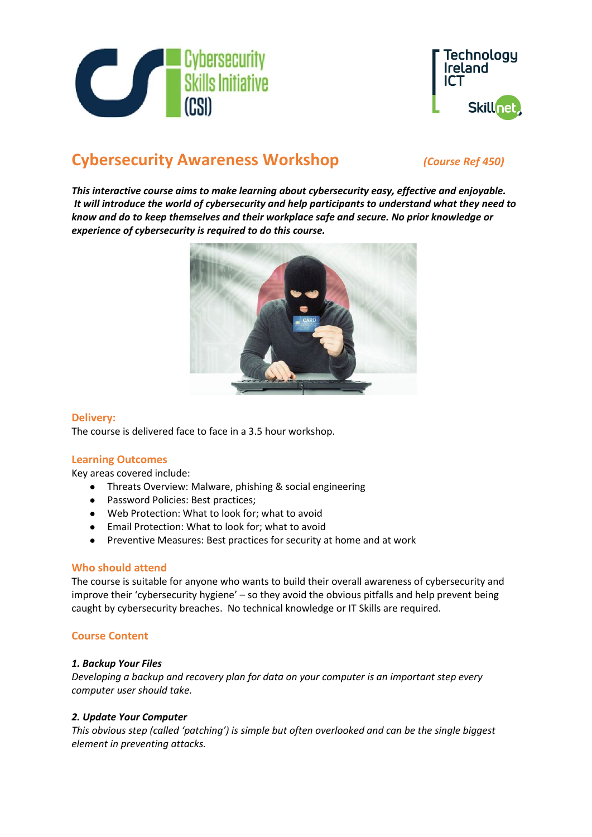



# **Cybersecurity Awareness Workshop** *(Course Ref 450)*

*This interactive course aims to make learning about cybersecurity easy, effective and enjoyable. It will introduce the world of cybersecurity and help participants to understand what they need to know and do to keep themselves and their workplace safe and secure. No prior knowledge or experience of cybersecurity is required to do this course.*



### **Delivery:**

The course is delivered face to face in a 3.5 hour workshop.

# **Learning Outcomes**

Key areas covered include:

- Threats Overview: Malware, phishing & social engineering
- Password Policies: Best practices;
- Web Protection: What to look for; what to avoid
- Email Protection: What to look for; what to avoid
- Preventive Measures: Best practices for security at home and at work

#### **Who should attend**

The course is suitable for anyone who wants to build their overall awareness of cybersecurity and improve their 'cybersecurity hygiene' – so they avoid the obvious pitfalls and help prevent being caught by cybersecurity breaches. No technical knowledge or IT Skills are required.

# **Course Content**

#### *1. Backup Your Files*

*Developing a backup and recovery plan for data on your computer is an important step every computer user should take.*

#### *2. Update Your Computer*

*This obvious step (called 'patching') is simple but often overlooked and can be the single biggest element in preventing attacks.*